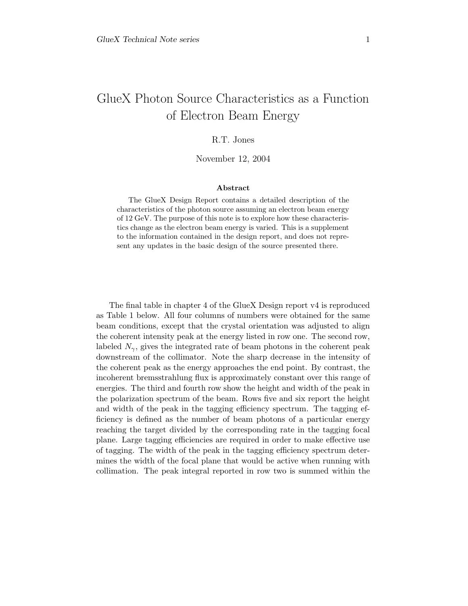## R.T. Jones

## November 12, 2004

## Abstract

The GlueX Design Report contains a detailed description of the characteristics of the photon source assuming an electron beam energy of 12 GeV. The purpose of this note is to explore how these characteristics change as the electron beam energy is varied. This is a supplement to the information contained in the design report, and does not represent any updates in the basic design of the source presented there.

The final table in chapter 4 of the GlueX Design report v4 is reproduced as Table 1 below. All four columns of numbers were obtained for the same beam conditions, except that the crystal orientation was adjusted to align the coherent intensity peak at the energy listed in row one. The second row, labeled  $N_{\gamma}$ , gives the integrated rate of beam photons in the coherent peak downstream of the collimator. Note the sharp decrease in the intensity of the coherent peak as the energy approaches the end point. By contrast, the incoherent bremsstrahlung flux is approximately constant over this range of energies. The third and fourth row show the height and width of the peak in the polarization spectrum of the beam. Rows five and six report the height and width of the peak in the tagging efficiency spectrum. The tagging efficiency is defined as the number of beam photons of a particular energy reaching the target divided by the corresponding rate in the tagging focal plane. Large tagging efficiencies are required in order to make effective use of tagging. The width of the peak in the tagging efficiency spectrum determines the width of the focal plane that would be active when running with collimation. The peak integral reported in row two is summed within the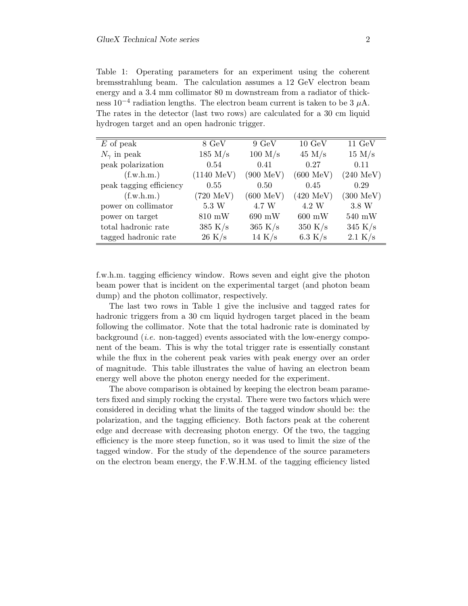Table 1: Operating parameters for an experiment using the coherent bremsstrahlung beam. The calculation assumes a 12 GeV electron beam energy and a 3.4 mm collimator 80 m downstream from a radiator of thickness  $10^{-4}$  radiation lengths. The electron beam current is taken to be 3  $\mu$ A. The rates in the detector (last two rows) are calculated for a 30 cm liquid hydrogen target and an open hadronic trigger.

| $E$ of peak             | 8 GeV                | $9 \text{ GeV}$      | $10 \text{ GeV}$    | $11 \text{ GeV}$    |
|-------------------------|----------------------|----------------------|---------------------|---------------------|
| $N_{\gamma}$ in peak    | 185 M/s              | 100 M/s              | 45 M/s              | 15 M/s              |
| peak polarization       | 0.54                 | 0.41                 | 0.27                | 0.11                |
| (f.w.h.m.)              | $(1140 \text{ MeV})$ | $(900~\mathrm{MeV})$ | $(600 \text{ MeV})$ | $(240 \text{ MeV})$ |
| peak tagging efficiency | 0.55                 | 0.50                 | 0.45                | 0.29                |
| (f.w.h.m.)              | $(720 \text{ MeV})$  | $(600 \text{ MeV})$  | $(420 \text{ MeV})$ | $(300 \text{ MeV})$ |
| power on collimator     | 5.3 W                | 4.7 W                | 4.2 W               | 3.8 W               |
| power on target         | $810 \text{ mW}$     | $690~\mathrm{mW}$    | $600~\mathrm{mW}$   | $540~\mathrm{mW}$   |
| total hadronic rate     | 385 K/s              | 365 K/s              | 350 K/s             | 345 K/s             |
| tagged hadronic rate    | 26 K/s               | 14 K/s               | 6.3 K/s             | 2.1 K/s             |

f.w.h.m. tagging efficiency window. Rows seven and eight give the photon beam power that is incident on the experimental target (and photon beam dump) and the photon collimator, respectively.

The last two rows in Table 1 give the inclusive and tagged rates for hadronic triggers from a 30 cm liquid hydrogen target placed in the beam following the collimator. Note that the total hadronic rate is dominated by background (i.e. non-tagged) events associated with the low-energy component of the beam. This is why the total trigger rate is essentially constant while the flux in the coherent peak varies with peak energy over an order of magnitude. This table illustrates the value of having an electron beam energy well above the photon energy needed for the experiment.

The above comparison is obtained by keeping the electron beam parameters fixed and simply rocking the crystal. There were two factors which were considered in deciding what the limits of the tagged window should be: the polarization, and the tagging efficiency. Both factors peak at the coherent edge and decrease with decreasing photon energy. Of the two, the tagging efficiency is the more steep function, so it was used to limit the size of the tagged window. For the study of the dependence of the source parameters on the electron beam energy, the F.W.H.M. of the tagging efficiency listed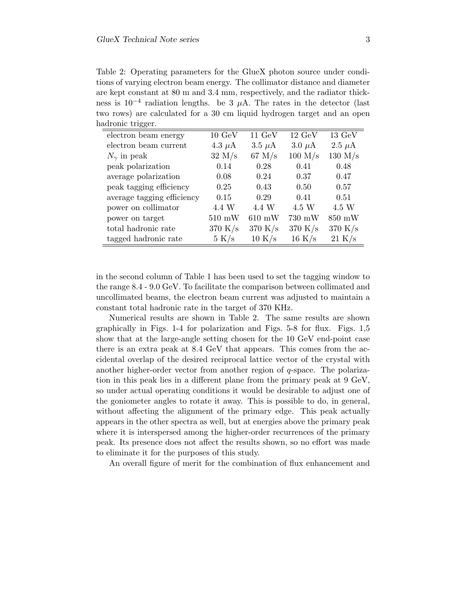Table 2: Operating parameters for the GlueX photon source under conditions of varying electron beam energy. The collimator distance and diameter are kept constant at 80 m and 3.4 mm, respectively, and the radiator thickness is  $10^{-4}$  radiation lengths. be 3  $\mu$ A. The rates in the detector (last two rows) are calculated for a 30 cm liquid hydrogen target and an open hadronic trigger.

| $\circ\circ$               |                  |                  |                  |                  |
|----------------------------|------------------|------------------|------------------|------------------|
| electron beam energy       | $10 \text{ GeV}$ | $11 \text{ GeV}$ | $12 \text{ GeV}$ | $13 \text{ GeV}$ |
| electron beam current      | 4.3 $\mu$ A      | $3.5 \mu A$      | $3.0 \mu A$      | 2.5 $\mu$ A      |
| $N_{\gamma}$ in peak       | 32 M/s           | $67$ M/s         | $100$ M/s        | 130 $M/s$        |
| peak polarization          | 0.14             | 0.28             | 0.41             | 0.48             |
| average polarization       | 0.08             | 0.24             | 0.37             | 0.47             |
| peak tagging efficiency    | 0.25             | 0.43             | 0.50             | 0.57             |
| average tagging efficiency | 0.15             | 0.29             | 0.41             | 0.51             |
| power on collimator        | 4.4 W            | 4.4 W            | 4.5 W            | 4.5 W            |
| power on target            | $510$ mW         | $610$ mW         | 730 mW           | 850 mW           |
| total hadronic rate        | 370 K/s          | 370 K/s          | 370 K/s          | 370 K/s          |
| tagged hadronic rate       | 5 K/s            | 10 K/s           | 16 K/s           | 21 K/s           |

in the second column of Table 1 has been used to set the tagging window to the range 8.4 - 9.0 GeV. To facilitate the comparison between collimated and uncollimated beams, the electron beam current was adjusted to maintain a constant total hadronic rate in the target of 370 KHz.

Numerical results are shown in Table 2. The same results are shown graphically in Figs. 1-4 for polarization and Figs. 5-8 for flux. Figs. 1,5 show that at the large-angle setting chosen for the 10 GeV end-point case there is an extra peak at 8.4 GeV that appears. This comes from the accidental overlap of the desired reciprocal lattice vector of the crystal with another higher-order vector from another region of q-space. The polarization in this peak lies in a different plane from the primary peak at 9 GeV, so under actual operating conditions it would be desirable to adjust one of the goniometer angles to rotate it away. This is possible to do, in general, without affecting the alignment of the primary edge. This peak actually appears in the other spectra as well, but at energies above the primary peak where it is interspersed among the higher-order recurrences of the primary peak. Its presence does not affect the results shown, so no effort was made to eliminate it for the purposes of this study.

An overall figure of merit for the combination of flux enhancement and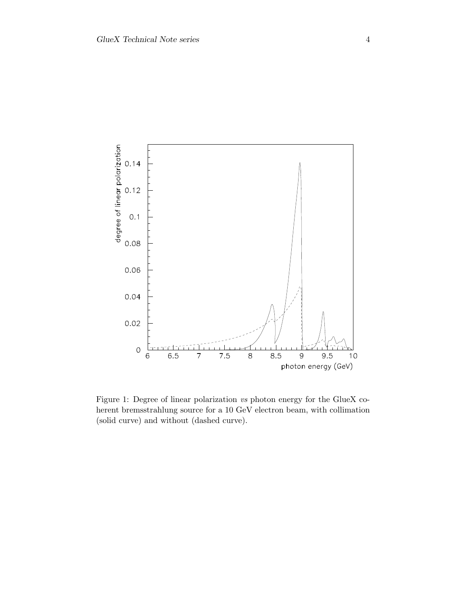

Figure 1: Degree of linear polarization vs photon energy for the GlueX coherent bremsstrahlung source for a 10 GeV electron beam, with collimation (solid curve) and without (dashed curve).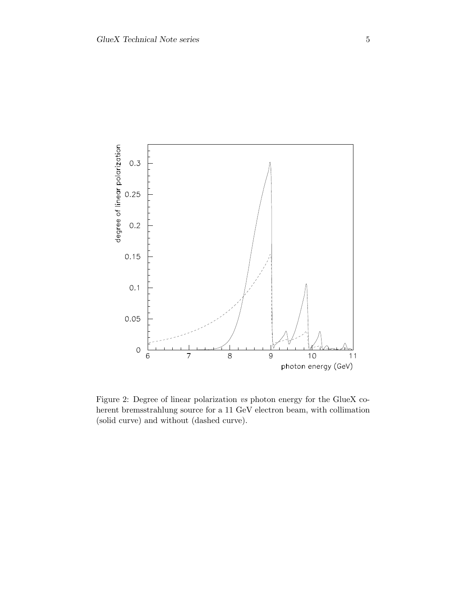

Figure 2: Degree of linear polarization vs photon energy for the GlueX coherent bremsstrahlung source for a 11 GeV electron beam, with collimation (solid curve) and without (dashed curve).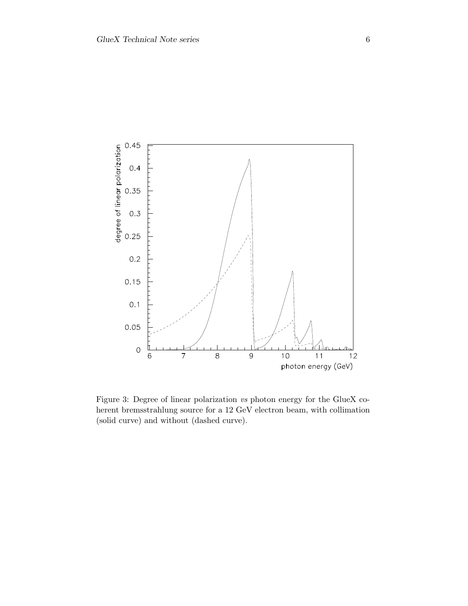

Figure 3: Degree of linear polarization vs photon energy for the GlueX coherent bremsstrahlung source for a 12 GeV electron beam, with collimation (solid curve) and without (dashed curve).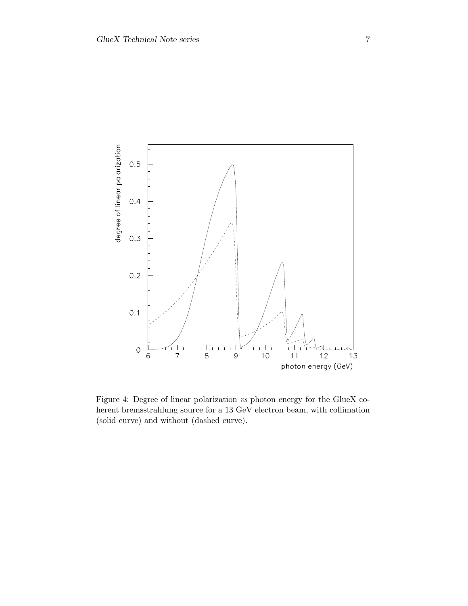

Figure 4: Degree of linear polarization vs photon energy for the GlueX coherent bremsstrahlung source for a 13 GeV electron beam, with collimation (solid curve) and without (dashed curve).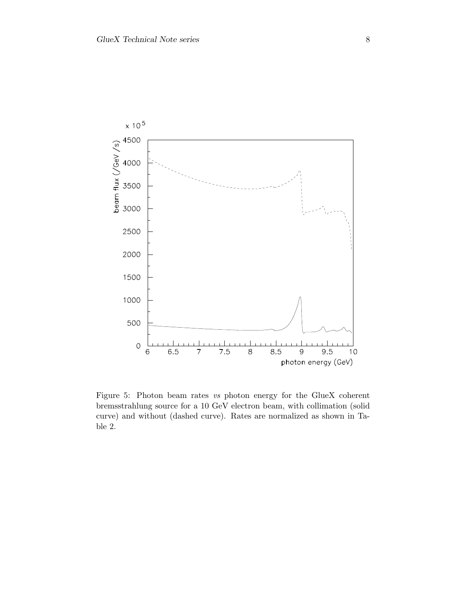

Figure 5: Photon beam rates vs photon energy for the GlueX coherent bremsstrahlung source for a 10 GeV electron beam, with collimation (solid curve) and without (dashed curve). Rates are normalized as shown in Table 2.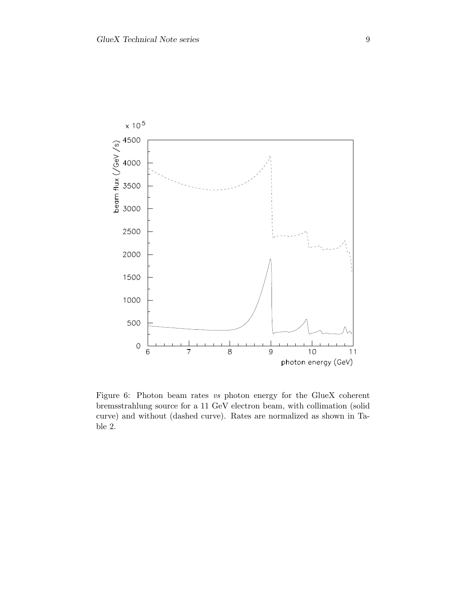

Figure 6: Photon beam rates vs photon energy for the GlueX coherent bremsstrahlung source for a 11 GeV electron beam, with collimation (solid curve) and without (dashed curve). Rates are normalized as shown in Table 2.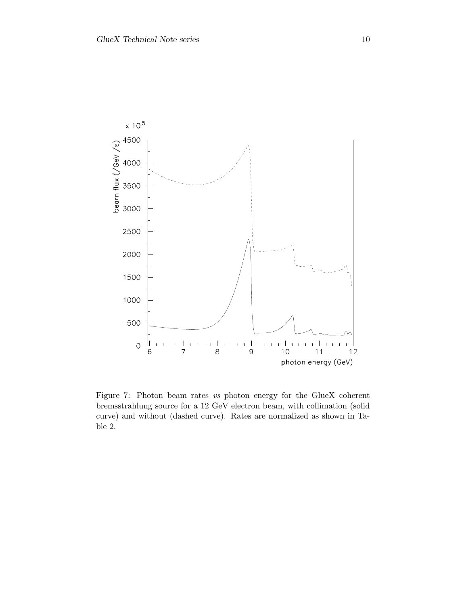

Figure 7: Photon beam rates vs photon energy for the GlueX coherent bremsstrahlung source for a 12 GeV electron beam, with collimation (solid curve) and without (dashed curve). Rates are normalized as shown in Table 2.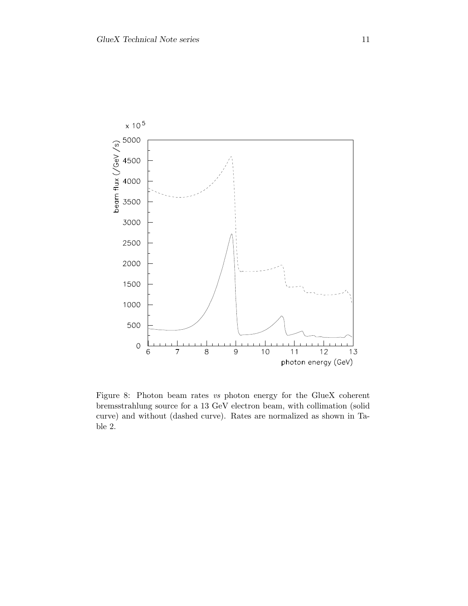

Figure 8: Photon beam rates vs photon energy for the GlueX coherent bremsstrahlung source for a 13 GeV electron beam, with collimation (solid curve) and without (dashed curve). Rates are normalized as shown in Table 2.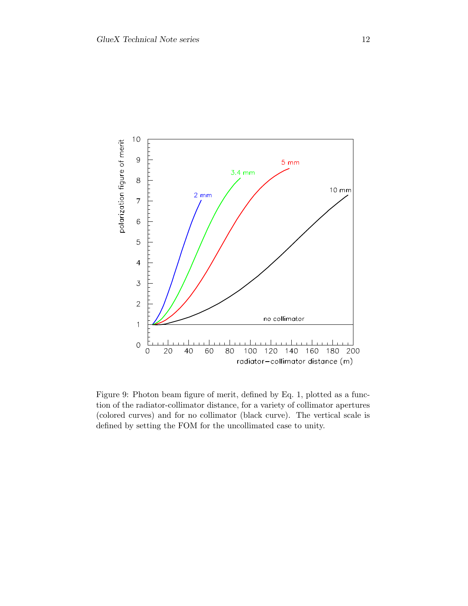

Figure 9: Photon beam figure of merit, defined by Eq. 1, plotted as a function of the radiator-collimator distance, for a variety of collimator apertures (colored curves) and for no collimator (black curve). The vertical scale is defined by setting the FOM for the uncollimated case to unity.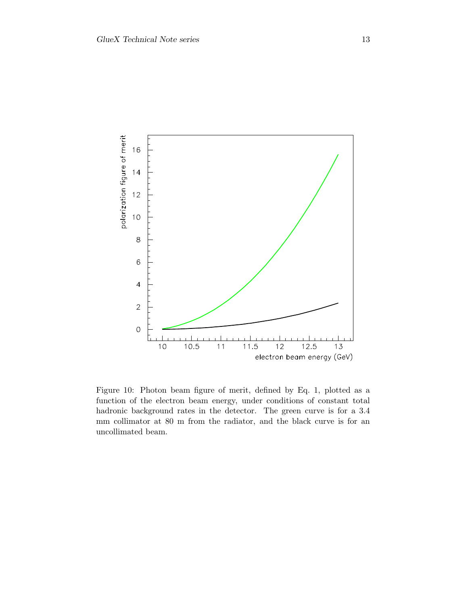

Figure 10: Photon beam figure of merit, defined by Eq. 1, plotted as a function of the electron beam energy, under conditions of constant total hadronic background rates in the detector. The green curve is for a 3.4 mm collimator at 80 m from the radiator, and the black curve is for an uncollimated beam.